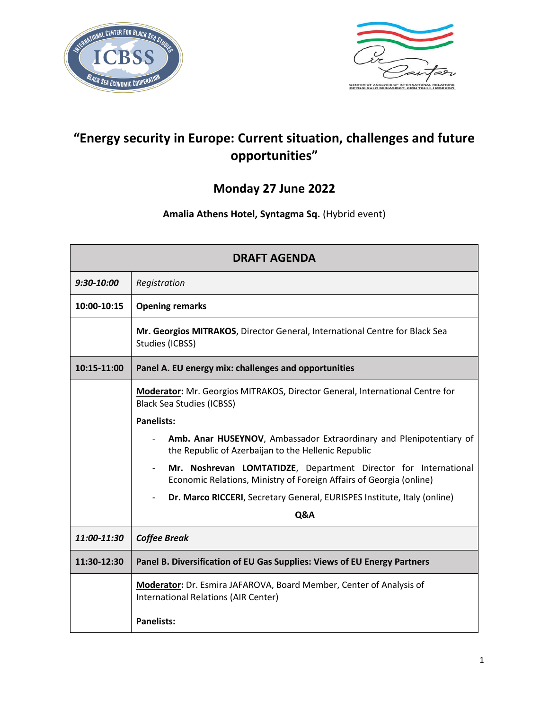



# **"Energy security in Europe: Current situation, challenges and future opportunities"**

## **Monday 27 June 2022**

### **Amalia Athens Hotel, Syntagma Sq.** (Hybrid event)

| <b>DRAFT AGENDA</b> |                                                                                                                                        |
|---------------------|----------------------------------------------------------------------------------------------------------------------------------------|
| 9:30-10:00          | Registration                                                                                                                           |
| 10:00-10:15         | <b>Opening remarks</b>                                                                                                                 |
|                     | Mr. Georgios MITRAKOS, Director General, International Centre for Black Sea<br>Studies (ICBSS)                                         |
| 10:15-11:00         | Panel A. EU energy mix: challenges and opportunities                                                                                   |
|                     | Moderator: Mr. Georgios MITRAKOS, Director General, International Centre for<br><b>Black Sea Studies (ICBSS)</b>                       |
|                     | <b>Panelists:</b>                                                                                                                      |
|                     | Amb. Anar HUSEYNOV, Ambassador Extraordinary and Plenipotentiary of<br>the Republic of Azerbaijan to the Hellenic Republic             |
|                     | Mr. Noshrevan LOMTATIDZE, Department Director for International<br>Economic Relations, Ministry of Foreign Affairs of Georgia (online) |
|                     | Dr. Marco RICCERI, Secretary General, EURISPES Institute, Italy (online)                                                               |
|                     | Q&A                                                                                                                                    |
| 11:00-11:30         | <b>Coffee Break</b>                                                                                                                    |
| 11:30-12:30         | Panel B. Diversification of EU Gas Supplies: Views of EU Energy Partners                                                               |
|                     | Moderator: Dr. Esmira JAFAROVA, Board Member, Center of Analysis of<br>International Relations (AIR Center)                            |
|                     | <b>Panelists:</b>                                                                                                                      |